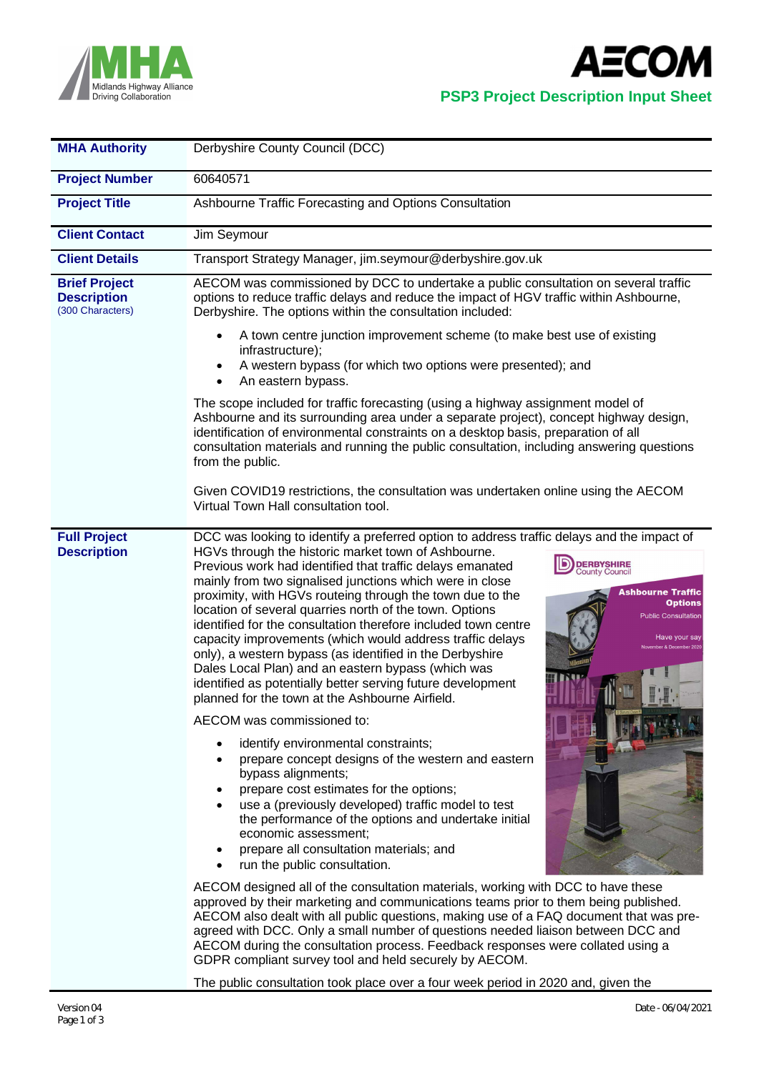



## **PSP3 Project Description Input Sheet**

| <b>MHA Authority</b>                                           | Derbyshire County Council (DCC)                                                                                                                                                                                                                                                                                                                                                                                                                                                                                                                                                                                                                                                                                                                                                                                                                                                                                                                                                                                                                                                                                                                                                                                                                                                                                                                                                                                                                                                                                                                                                                                                                                                                                                                                                                                                           |  |  |  |  |
|----------------------------------------------------------------|-------------------------------------------------------------------------------------------------------------------------------------------------------------------------------------------------------------------------------------------------------------------------------------------------------------------------------------------------------------------------------------------------------------------------------------------------------------------------------------------------------------------------------------------------------------------------------------------------------------------------------------------------------------------------------------------------------------------------------------------------------------------------------------------------------------------------------------------------------------------------------------------------------------------------------------------------------------------------------------------------------------------------------------------------------------------------------------------------------------------------------------------------------------------------------------------------------------------------------------------------------------------------------------------------------------------------------------------------------------------------------------------------------------------------------------------------------------------------------------------------------------------------------------------------------------------------------------------------------------------------------------------------------------------------------------------------------------------------------------------------------------------------------------------------------------------------------------------|--|--|--|--|
| <b>Project Number</b>                                          | 60640571                                                                                                                                                                                                                                                                                                                                                                                                                                                                                                                                                                                                                                                                                                                                                                                                                                                                                                                                                                                                                                                                                                                                                                                                                                                                                                                                                                                                                                                                                                                                                                                                                                                                                                                                                                                                                                  |  |  |  |  |
| <b>Project Title</b>                                           | Ashbourne Traffic Forecasting and Options Consultation                                                                                                                                                                                                                                                                                                                                                                                                                                                                                                                                                                                                                                                                                                                                                                                                                                                                                                                                                                                                                                                                                                                                                                                                                                                                                                                                                                                                                                                                                                                                                                                                                                                                                                                                                                                    |  |  |  |  |
| <b>Client Contact</b>                                          | Jim Seymour                                                                                                                                                                                                                                                                                                                                                                                                                                                                                                                                                                                                                                                                                                                                                                                                                                                                                                                                                                                                                                                                                                                                                                                                                                                                                                                                                                                                                                                                                                                                                                                                                                                                                                                                                                                                                               |  |  |  |  |
| <b>Client Details</b>                                          | Transport Strategy Manager, jim.seymour@derbyshire.gov.uk                                                                                                                                                                                                                                                                                                                                                                                                                                                                                                                                                                                                                                                                                                                                                                                                                                                                                                                                                                                                                                                                                                                                                                                                                                                                                                                                                                                                                                                                                                                                                                                                                                                                                                                                                                                 |  |  |  |  |
| <b>Brief Project</b><br><b>Description</b><br>(300 Characters) | AECOM was commissioned by DCC to undertake a public consultation on several traffic<br>options to reduce traffic delays and reduce the impact of HGV traffic within Ashbourne,<br>Derbyshire. The options within the consultation included:                                                                                                                                                                                                                                                                                                                                                                                                                                                                                                                                                                                                                                                                                                                                                                                                                                                                                                                                                                                                                                                                                                                                                                                                                                                                                                                                                                                                                                                                                                                                                                                               |  |  |  |  |
|                                                                | A town centre junction improvement scheme (to make best use of existing<br>infrastructure);<br>A western bypass (for which two options were presented); and<br>An eastern bypass.                                                                                                                                                                                                                                                                                                                                                                                                                                                                                                                                                                                                                                                                                                                                                                                                                                                                                                                                                                                                                                                                                                                                                                                                                                                                                                                                                                                                                                                                                                                                                                                                                                                         |  |  |  |  |
|                                                                | The scope included for traffic forecasting (using a highway assignment model of<br>Ashbourne and its surrounding area under a separate project), concept highway design,<br>identification of environmental constraints on a desktop basis, preparation of all<br>consultation materials and running the public consultation, including answering questions<br>from the public.                                                                                                                                                                                                                                                                                                                                                                                                                                                                                                                                                                                                                                                                                                                                                                                                                                                                                                                                                                                                                                                                                                                                                                                                                                                                                                                                                                                                                                                           |  |  |  |  |
|                                                                | Given COVID19 restrictions, the consultation was undertaken online using the AECOM<br>Virtual Town Hall consultation tool.                                                                                                                                                                                                                                                                                                                                                                                                                                                                                                                                                                                                                                                                                                                                                                                                                                                                                                                                                                                                                                                                                                                                                                                                                                                                                                                                                                                                                                                                                                                                                                                                                                                                                                                |  |  |  |  |
| <b>Full Project</b><br><b>Description</b>                      | DCC was looking to identify a preferred option to address traffic delays and the impact of<br>HGVs through the historic market town of Ashbourne.<br><b>DERBYSHIRE</b><br>County Council<br>Previous work had identified that traffic delays emanated<br>mainly from two signalised junctions which were in close<br><b>Ashbourne Traffic</b><br>proximity, with HGVs routeing through the town due to the<br><b>Options</b><br>location of several quarries north of the town. Options<br><b>Public Consultation</b><br>identified for the consultation therefore included town centre<br>capacity improvements (which would address traffic delays<br>Have your say<br>only), a western bypass (as identified in the Derbyshire<br>Dales Local Plan) and an eastern bypass (which was<br>identified as potentially better serving future development<br>planned for the town at the Ashbourne Airfield.<br>AECOM was commissioned to:<br>identify environmental constraints;<br>prepare concept designs of the western and eastern<br>bypass alignments;<br>prepare cost estimates for the options;<br>use a (previously developed) traffic model to test<br>the performance of the options and undertake initial<br>economic assessment;<br>prepare all consultation materials; and<br>run the public consultation.<br>$\bullet$<br>AECOM designed all of the consultation materials, working with DCC to have these<br>approved by their marketing and communications teams prior to them being published.<br>AECOM also dealt with all public questions, making use of a FAQ document that was pre-<br>agreed with DCC. Only a small number of questions needed liaison between DCC and<br>AECOM during the consultation process. Feedback responses were collated using a<br>GDPR compliant survey tool and held securely by AECOM. |  |  |  |  |

The public consultation took place over a four week period in 2020 and, given the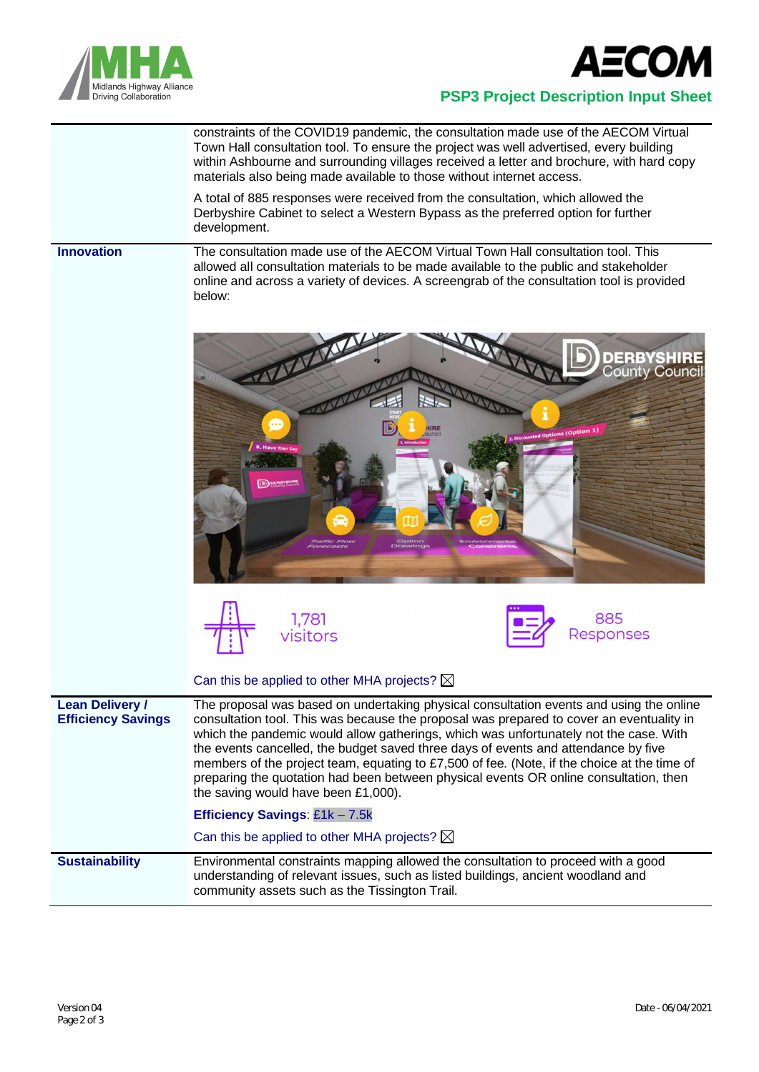



## **PSP3 Project Description Input Sheet**

constraints of the COVID19 pandemic, the consultation made use of the AECOM Virtual Town Hall consultation tool. To ensure the project was well advertised, every building within Ashbourne and surrounding villages received a letter and brochure, with hard copy materials also being made available to those without internet access.

A total of 885 responses were received from the consultation, which allowed the Derbyshire Cabinet to select a Western Bypass as the preferred option for further development.

## **Innovation** The consultation made use of the AECOM Virtual Town Hall consultation tool. This allowed all consultation materials to be made available to the public and stakeholder online and across a variety of devices. A screengrab of the consultation tool is provided below:







|                                                     | Can this be applied to other MHA projects? $\boxtimes$                                                                                                                                                                                                                                                                                                                                                                                                                                                                                                                                                                                                                                        |
|-----------------------------------------------------|-----------------------------------------------------------------------------------------------------------------------------------------------------------------------------------------------------------------------------------------------------------------------------------------------------------------------------------------------------------------------------------------------------------------------------------------------------------------------------------------------------------------------------------------------------------------------------------------------------------------------------------------------------------------------------------------------|
| <b>Lean Delivery /</b><br><b>Efficiency Savings</b> | The proposal was based on undertaking physical consultation events and using the online<br>consultation tool. This was because the proposal was prepared to cover an eventuality in<br>which the pandemic would allow gatherings, which was unfortunately not the case. With<br>the events cancelled, the budget saved three days of events and attendance by five<br>members of the project team, equating to £7,500 of fee. (Note, if the choice at the time of<br>preparing the quotation had been between physical events OR online consultation, then<br>the saving would have been £1,000).<br>Efficiency Savings: £1k - 7.5k<br>Can this be applied to other MHA projects? $\boxtimes$ |
| <b>Sustainability</b>                               | Environmental constraints mapping allowed the consultation to proceed with a good<br>understanding of relevant issues, such as listed buildings, ancient woodland and<br>community assets such as the Tissington Trail.                                                                                                                                                                                                                                                                                                                                                                                                                                                                       |